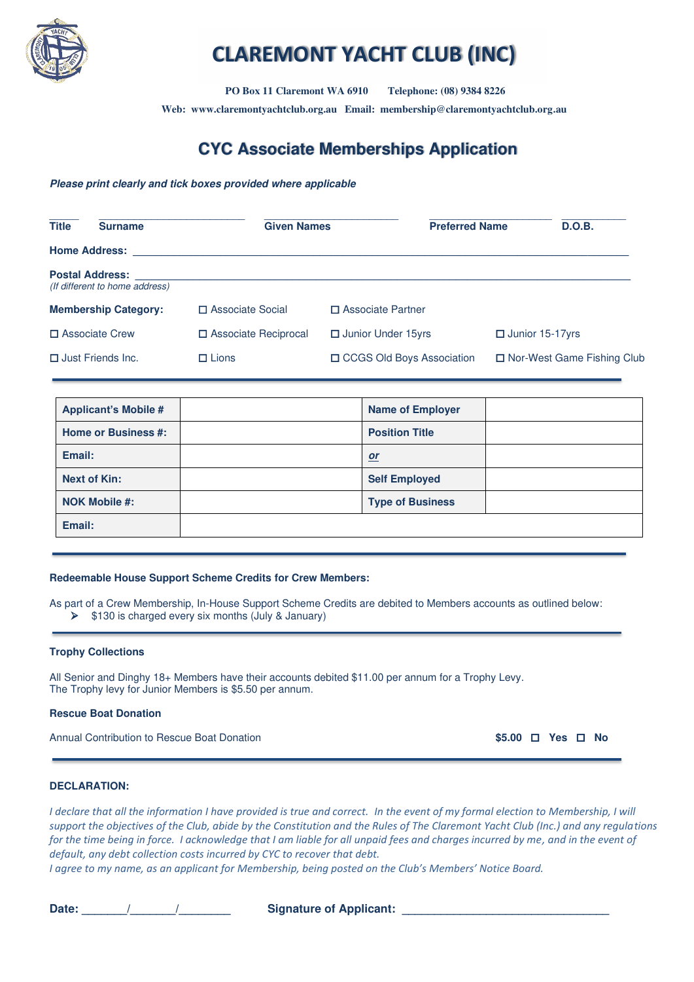

# **CLAREMONT YACHT CLUB (INC)**

 **PO Box 11 Claremont WA 6910 Telephone: (08) 9384 8226** 

**Web: www.claremontyachtclub.org.au Email: membership@claremontyachtclub.org.au**

# **CYC Associate Memberships Application**

#### **Please print clearly and tick boxes provided where applicable**

| <b>Title</b> | <b>Surname</b>                                           | <b>Given Names</b>     |                             | <b>Preferred Name</b> | D.O.B.                       |
|--------------|----------------------------------------------------------|------------------------|-----------------------------|-----------------------|------------------------------|
|              | <b>Home Address:</b>                                     |                        |                             |                       |                              |
|              | <b>Postal Address:</b><br>(If different to home address) |                        |                             |                       |                              |
|              | <b>Membership Category:</b>                              | □ Associate Social     | □ Associate Partner         |                       |                              |
|              | □ Associate Crew                                         | □ Associate Reciprocal | □ Junior Under 15yrs        |                       | $\Box$ Junior 15-17 yrs      |
|              | $\Box$ Just Friends Inc.                                 | $\Box$ Lions           | □ CCGS Old Boys Association |                       | □ Nor-West Game Fishing Club |

| <b>Applicant's Mobile #</b> | <b>Name of Employer</b> |  |
|-----------------------------|-------------------------|--|
| <b>Home or Business #:</b>  | <b>Position Title</b>   |  |
| Email:                      | or                      |  |
| Next of Kin:                | <b>Self Employed</b>    |  |
| <b>NOK Mobile #:</b>        | <b>Type of Business</b> |  |
| Email:                      |                         |  |

#### **Redeemable House Support Scheme Credits for Crew Members:**

As part of a Crew Membership, In-House Support Scheme Credits are debited to Members accounts as outlined below: ➢ \$130 is charged every six months (July & January)

#### **Trophy Collections**

All Senior and Dinghy 18+ Members have their accounts debited \$11.00 per annum for a Trophy Levy. The Trophy levy for Junior Members is \$5.50 per annum.

#### **Rescue Boat Donation**

Annual Contribution to Rescue Boat Donation **\$5.00 Yes No**

#### **DECLARATION:**

*I declare that all the information I have provided is true and correct. In the event of my formal election to Membership, I will support the objectives of the Club, abide by the Constitution and the Rules of The Claremont Yacht Club (Inc.) and any regulations for the time being in force. I acknowledge that I am liable for all unpaid fees and charges incurred by me, and in the event of default, any debt collection costs incurred by CYC to recover that debt.* 

*I agree to my name, as an applicant for Membership, being posted on the Club's Members' Notice Board.*

Date: and the state of Applicant:  $\frac{1}{2}$  and  $\frac{1}{2}$  and  $\frac{1}{2}$  Signature of Applicant: